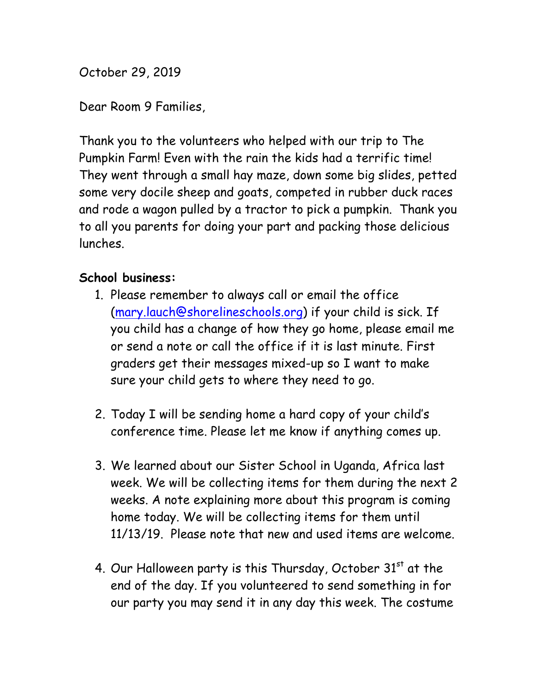October 29, 2019

Dear Room 9 Families,

Thank you to the volunteers who helped with our trip to The Pumpkin Farm! Even with the rain the kids had a terrific time! They went through a small hay maze, down some big slides, petted some very docile sheep and goats, competed in rubber duck races and rode a wagon pulled by a tractor to pick a pumpkin. Thank you to all you parents for doing your part and packing those delicious lunches.

## **School business:**

- 1. Please remember to always call or email the office (mary.lauch@shorelineschools.org) if your child is sick. If you child has a change of how they go home, please email me or send a note or call the office if it is last minute. First graders get their messages mixed-up so I want to make sure your child gets to where they need to go.
- 2. Today I will be sending home a hard copy of your child's conference time. Please let me know if anything comes up.
- 3. We learned about our Sister School in Uganda, Africa last week. We will be collecting items for them during the next 2 weeks. A note explaining more about this program is coming home today. We will be collecting items for them until 11/13/19. Please note that new and used items are welcome.
- 4. Our Halloween party is this Thursday, October  $31<sup>st</sup>$  at the end of the day. If you volunteered to send something in for our party you may send it in any day this week. The costume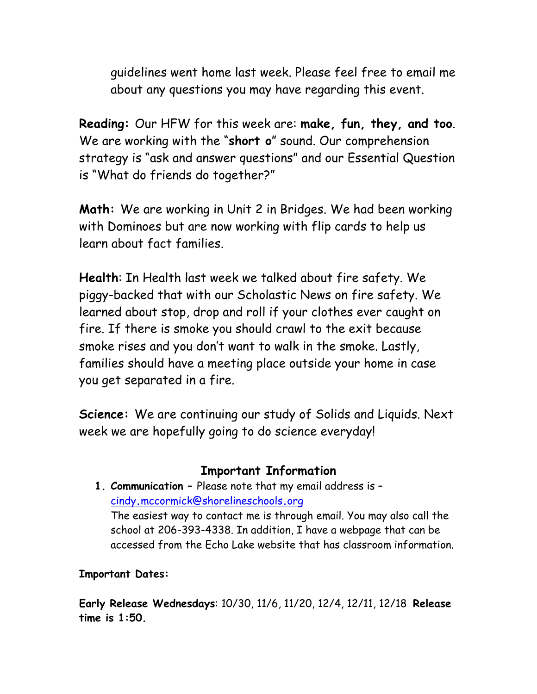guidelines went home last week. Please feel free to email me about any questions you may have regarding this event.

**Reading:** Our HFW for this week are: **make, fun, they, and too**. We are working with the "**short o**" sound. Our comprehension strategy is "ask and answer questions" and our Essential Question is "What do friends do together?"

**Math:** We are working in Unit 2 in Bridges. We had been working with Dominoes but are now working with flip cards to help us learn about fact families.

**Health**: In Health last week we talked about fire safety. We piggy-backed that with our Scholastic News on fire safety. We learned about stop, drop and roll if your clothes ever caught on fire. If there is smoke you should crawl to the exit because smoke rises and you don't want to walk in the smoke. Lastly, families should have a meeting place outside your home in case you get separated in a fire.

**Science:** We are continuing our study of Solids and Liquids. Next week we are hopefully going to do science everyday!

## **Important Information**

**1. Communication –** Please note that my email address is – cindy**.**mccormick@shorelineschools**.**org The easiest way to contact me is through email. You may also call the school at 206-393-4338. In addition, I have a webpage that can be accessed from the Echo Lake website that has classroom information.

## **Important Dates:**

**Early Release Wednesdays**: 10/30, 11/6, 11/20, 12/4, 12/11, 12/18 **Release time is 1:50.**